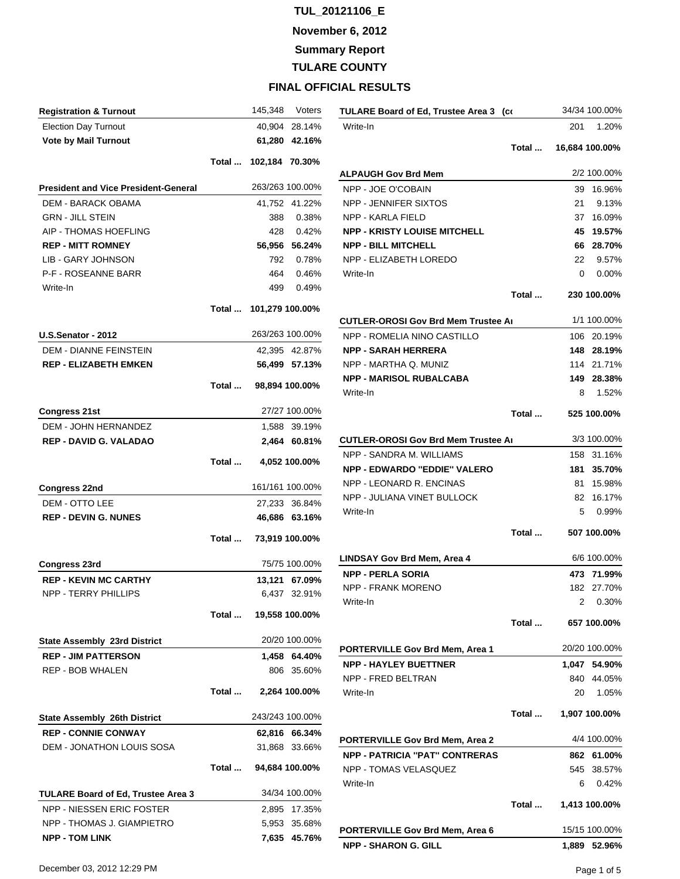**November 6, 2012**

**Summary Report**

**TULARE COUNTY**

| <b>Registration &amp; Turnout</b>           |       | 145,348               | Voters          |
|---------------------------------------------|-------|-----------------------|-----------------|
| <b>Election Day Turnout</b>                 |       |                       | 40,904 28.14%   |
| <b>Vote by Mail Turnout</b>                 |       |                       | 61,280 42.16%   |
|                                             |       | Total  102,184 70.30% |                 |
|                                             |       |                       |                 |
| <b>President and Vice President-General</b> |       | 263/263 100.00%       |                 |
| DEM - BARACK OBAMA                          |       |                       | 41,752 41.22%   |
| <b>GRN - JILL STEIN</b>                     |       | 388                   | 0.38%           |
| AIP - THOMAS HOEFLING                       |       |                       | 428 0.42%       |
| <b>REP - MITT ROMNEY</b>                    |       |                       | 56,956 56.24%   |
| <b>LIB - GARY JOHNSON</b>                   |       |                       | 792 0.78%       |
| P-F - ROSEANNE BARR                         |       |                       | 464 0.46%       |
| Write-In                                    |       |                       | 499 0.49%       |
|                                             | Total | 101,279 100.00%       |                 |
| <b>U.S.Senator - 2012</b>                   |       |                       | 263/263 100.00% |
| <b>DEM - DIANNE FEINSTEIN</b>               |       |                       | 42,395 42.87%   |
| <b>REP - ELIZABETH EMKEN</b>                |       |                       | 56,499 57.13%   |
|                                             | Total |                       | 98,894 100.00%  |
|                                             |       |                       |                 |
| <b>Congress 21st</b>                        |       |                       | 27/27 100.00%   |
| <b>DEM - JOHN HERNANDEZ</b>                 |       |                       | 1,588 39.19%    |
| <b>REP - DAVID G. VALADAO</b>               |       |                       | 2,464 60.81%    |
|                                             | Total |                       | 4,052 100.00%   |
| <b>Congress 22nd</b>                        |       |                       | 161/161 100.00% |
| DEM - OTTO LEE                              |       |                       | 27,233 36.84%   |
| <b>REP - DEVIN G. NUNES</b>                 |       |                       | 46,686 63.16%   |
|                                             | Total |                       | 73,919 100.00%  |
| <b>Congress 23rd</b>                        |       |                       | 75/75 100.00%   |
| <b>REP - KEVIN MC CARTHY</b>                |       |                       | 13,121 67.09%   |
| <b>NPP - TERRY PHILLIPS</b>                 |       |                       | 6,437 32.91%    |
|                                             |       |                       |                 |
|                                             | Total |                       | 19,558 100.00%  |
| <b>State Assembly 23rd District</b>         |       |                       | 20/20 100.00%   |
| <b>REP - JIM PATTERSON</b>                  |       |                       | 1,458 64.40%    |
| <b>REP - BOB WHALEN</b>                     |       |                       | 806 35.60%      |
|                                             | Total |                       | 2,264 100.00%   |
| <b>State Assembly 26th District</b>         |       | 243/243 100.00%       |                 |
| <b>REP - CONNIE CONWAY</b>                  |       |                       | 62,816 66.34%   |
| DEM - JONATHON LOUIS SOSA                   |       |                       | 31,868 33.66%   |
|                                             |       |                       |                 |
|                                             | Total |                       | 94,684 100.00%  |
| <b>TULARE Board of Ed, Trustee Area 3</b>   |       |                       | 34/34 100.00%   |
| NPP - NIESSEN ERIC FOSTER                   |       |                       | 2,895 17.35%    |
| NPP - THOMAS J. GIAMPIETRO                  |       |                       | 5,953 35.68%    |
| <b>NPP - TOM LINK</b>                       |       |                       | 7,635 45.76%    |

| TULARE Board of Ed, Trustee Area 3 (co |       |                | 34/34 100.00% |
|----------------------------------------|-------|----------------|---------------|
| Write-In                               |       | 201            | 1.20%         |
|                                        | Total | 16,684 100.00% |               |
| ALPAUGH Gov Brd Mem                    |       |                | 2/2 100.00%   |
| NPP - JOE O'COBAIN                     |       | 39             | 16.96%        |
| NPP - JENNIFER SIXTOS                  |       | 21             | 9.13%         |
| NPP - KARLA FIELD                      |       | 37             | 16.09%        |
| <b>NPP - KRISTY LOUISE MITCHELL</b>    |       | 45             | 19.57%        |
| <b>NPP - BILL MITCHELL</b>             |       | 66             | 28.70%        |
| NPP - ELIZABETH LOREDO                 |       | 22             | 9.57%         |
| Write-In                               |       | $\mathbf{0}$   | $0.00\%$      |
|                                        | Total |                | 230 100.00%   |
| CUTLER-OROSI Gov Brd Mem Trustee Aı    |       |                | 1/1 100.00%   |
| NPP - ROMELIA NINO CASTILLO            |       | 106.           | 20.19%        |
| <b>NPP - SARAH HERRERA</b>             |       |                | 148 28.19%    |
| NPP - MARTHA Q. MUNIZ                  |       |                | 114 21.71%    |
| <b>NPP - MARISOL RUBALCABA</b>         |       |                | 149 28.38%    |
| Write-In                               |       | 8              | 1.52%         |
|                                        | Total |                | 525 100.00%   |
| CUTLER-OROSI Gov Brd Mem Trustee Aı    |       |                | 3/3 100.00%   |
| NPP - SANDRA M. WILLIAMS               |       | 158            | 31.16%        |
| <b>NPP - EDWARDO "EDDIE" VALERO</b>    |       | 181            | 35.70%        |
| NPP - LEONARD R. ENCINAS               |       | 81.            | 15.98%        |
| NPP - JULIANA VINET BULLOCK            |       | 82 -           | 16.17%        |
| Write-In                               |       | 5              | 0.99%         |
|                                        | Total |                | 507 100.00%   |
| LINDSAY Gov Brd Mem, Area 4            |       |                | 6/6 100.00%   |
| <b>NPP - PERLA SORIA</b>               |       | 473            | 71.99%        |
| <b>NPP - FRANK MORENO</b>              |       |                | 182 27.70%    |
| Write-In                               |       | 2              | 0.30%         |
|                                        | Total |                | 657 100.00%   |
| PORTERVILLE Gov Brd Mem, Area 1        |       |                | 20/20 100.00% |
| <b>NPP - HAYLEY BUETTNER</b>           |       |                | 1,047 54.90%  |
| <b>NPP - FRED BELTRAN</b>              |       | 840            | 44.05%        |
| Write-In                               |       | 20             | 1.05%         |
|                                        | Total |                | 1,907 100.00% |
| PORTERVILLE Gov Brd Mem, Area 2        |       |                | 4/4 100.00%   |
| <b>NPP - PATRICIA "PAT" CONTRERAS</b>  |       |                | 862 61.00%    |
| NPP - TOMAS VELASQUEZ                  |       | 545            | 38.57%        |
| Write-In                               |       | 6              | 0.42%         |
|                                        | Total |                | 1,413 100.00% |
| PORTERVILLE Gov Brd Mem, Area 6        |       |                | 15/15 100.00% |
| <b>NPP - SHARON G. GILL</b>            |       |                | 1,889 52.96%  |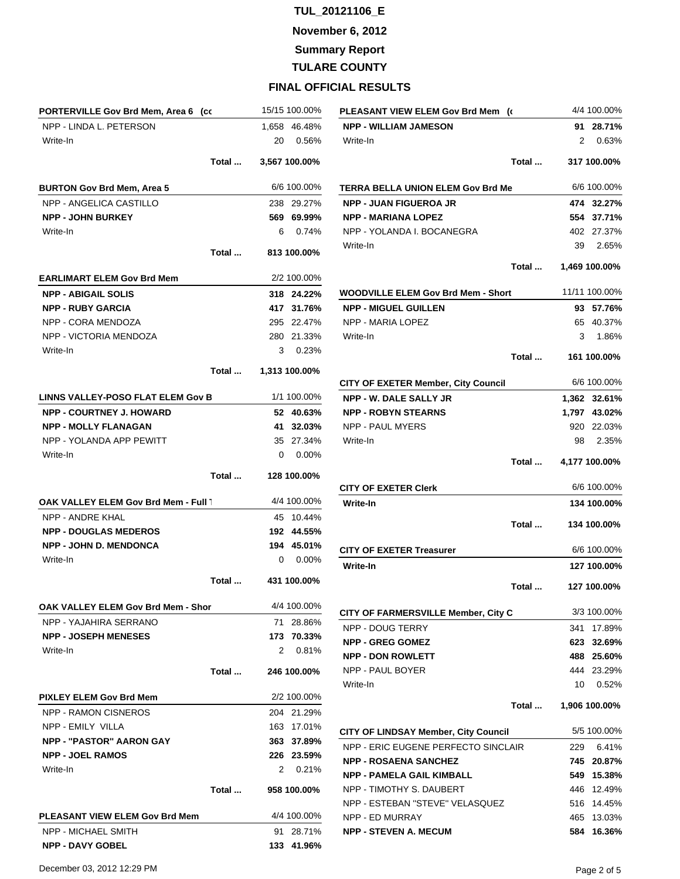**November 6, 2012**

**Summary Report**

**TULARE COUNTY**

|                                          | PORTERVILLE Gov Brd Mem, Area 6 (co |              | 15/15 100.00% |
|------------------------------------------|-------------------------------------|--------------|---------------|
| NPP - LINDA L. PETERSON                  |                                     |              | 1,658 46.48%  |
| Write-In                                 |                                     | 20           | 0.56%         |
|                                          | Total                               |              | 3,567 100.00% |
| <b>BURTON Gov Brd Mem, Area 5</b>        |                                     |              | 6/6 100.00%   |
| NPP - ANGELICA CASTILLO                  |                                     |              | 238 29.27%    |
| <b>NPP - JOHN BURKEY</b>                 |                                     |              | 569 69.99%    |
| Write-In                                 |                                     | 6            | 0.74%         |
|                                          | Total                               |              | 813 100.00%   |
| <b>EARLIMART ELEM Gov Brd Mem</b>        |                                     |              | 2/2 100.00%   |
| <b>NPP - ABIGAIL SOLIS</b>               |                                     |              | 318 24.22%    |
| <b>NPP - RUBY GARCIA</b>                 |                                     |              | 417 31.76%    |
| NPP - CORA MENDOZA                       |                                     |              | 295 22.47%    |
| NPP - VICTORIA MENDOZA                   |                                     |              | 280 21.33%    |
| Write-In                                 |                                     | 3            | 0.23%         |
|                                          | Total                               |              | 1,313 100.00% |
| <b>LINNS VALLEY-POSO FLAT ELEM Gov B</b> |                                     |              | 1/1 100.00%   |
| <b>NPP - COURTNEY J. HOWARD</b>          |                                     |              | 52 40.63%     |
| <b>NPP - MOLLY FLANAGAN</b>              |                                     |              | 41 32.03%     |
| NPP - YOLANDA APP PEWITT                 |                                     |              | 35 27.34%     |
| Write-In                                 |                                     |              | $0.00\%$      |
|                                          | Total                               |              | 128 100.00%   |
| OAK VALLEY ELEM Gov Brd Mem - Full 1     |                                     |              | 4/4 100.00%   |
|                                          |                                     |              |               |
| NPP - ANDRE KHAL                         |                                     |              | 45 10.44%     |
| <b>NPP - DOUGLAS MEDEROS</b>             |                                     |              | 192 44.55%    |
| <b>NPP - JOHN D. MENDONCA</b>            |                                     |              | 194 45.01%    |
| Write-In                                 |                                     | $\mathbf{0}$ | $0.00\%$      |
|                                          | Total                               |              | 431 100.00%   |
| OAK VALLEY ELEM Gov Brd Mem - Shor       |                                     |              | 4/4 100.00%   |
| NPP - YAJAHIRA SERRANO                   |                                     | 71           | 28.86%        |
| <b>NPP - JOSEPH MENESES</b>              |                                     |              | 173 70.33%    |
| Write-In                                 |                                     | 2            | 0.81%         |
|                                          | Total                               |              | 246 100.00%   |
| <b>PIXLEY ELEM Gov Brd Mem</b>           |                                     |              | 2/2 100.00%   |
| <b>NPP - RAMON CISNEROS</b>              |                                     |              | 204 21.29%    |
| NPP - EMILY VILLA                        |                                     |              | 163 17.01%    |
| <b>NPP - "PASTOR" AARON GAY</b>          |                                     |              | 363 37.89%    |
| <b>NPP - JOEL RAMOS</b>                  |                                     |              | 226 23.59%    |
| Write-In                                 |                                     |              | 2 0.21%       |
|                                          | Total                               |              | 958 100.00%   |
| <b>PLEASANT VIEW ELEM Gov Brd Mem</b>    |                                     |              | 4/4 100.00%   |
| NPP - MICHAEL SMITH                      |                                     | 91           | 28.71%        |

| PLEASANT VIEW ELEM Gov Brd Mem (<          |       |     | 4/4 100.00%   |
|--------------------------------------------|-------|-----|---------------|
| <b>NPP - WILLIAM JAMESON</b>               |       |     | 91 28.71%     |
| Write-In                                   |       | 2   | 0.63%         |
|                                            | Total |     | 317 100.00%   |
| TERRA BELLA UNION ELEM Gov Brd Me          |       |     | 6/6 100.00%   |
| <b>NPP - JUAN FIGUEROA JR</b>              |       |     | 474 32.27%    |
| <b>NPP - MARIANA LOPEZ</b>                 |       |     | 554 37.71%    |
| NPP - YOLANDA I. BOCANEGRA                 |       |     | 402 27.37%    |
| Write-In                                   |       | 39  | 2.65%         |
|                                            | Total |     | 1,469 100.00% |
| <b>WOODVILLE ELEM Gov Brd Mem - Short</b>  |       |     | 11/11 100.00% |
| <b>NPP - MIGUEL GUILLEN</b>                |       |     | 93 57.76%     |
| <b>NPP - MARIA LOPEZ</b>                   |       |     | 65 40.37%     |
| Write-In                                   |       | 3   | 1.86%         |
|                                            | Total |     | 161 100.00%   |
| CITY OF EXETER Member, City Council        |       |     | 6/6 100.00%   |
| <b>NPP - W. DALE SALLY JR</b>              |       |     | 1,362 32.61%  |
| <b>NPP - ROBYN STEARNS</b>                 |       |     | 1,797 43.02%  |
| <b>NPP - PAUL MYERS</b>                    |       |     | 920 22.03%    |
| Write-In                                   |       |     | 98 2.35%      |
|                                            |       |     |               |
|                                            | Total |     | 4,177 100.00% |
| CITY OF EXETER Clerk                       |       |     | 6/6 100.00%   |
| Write-In                                   |       |     | 134 100.00%   |
|                                            | Total |     | 134 100.00%   |
| <b>CITY OF EXETER Treasurer</b>            |       |     | 6/6 100.00%   |
| Write-In                                   |       |     | 127 100.00%   |
|                                            | Total |     | 127 100.00%   |
| <b>CITY OF FARMERSVILLE Member, City C</b> |       |     | 3/3 100.00%   |
| NPP - DOUG TERRY                           |       | 341 | 17.89%        |
| <b>NPP - GREG GOMEZ</b>                    |       |     | 32.69%        |
|                                            |       | 623 |               |
| <b>NPP - DON ROWLETT</b>                   |       |     | 488 25.60%    |
| NPP - PAUL BOYER                           |       |     | 444 23.29%    |
| Write-In                                   |       | 10  | 0.52%         |
|                                            | Total |     | 1,906 100.00% |
| CITY OF LINDSAY Member, City Council       |       |     | 5/5 100.00%   |
| NPP - ERIC EUGENE PERFECTO SINCLAIR        |       | 229 | 6.41%         |
| <b>NPP - ROSAENA SANCHEZ</b>               |       | 745 | 20.87%        |
| <b>NPP - PAMELA GAIL KIMBALL</b>           |       |     | 549 15.38%    |
| NPP - TIMOTHY S. DAUBERT                   |       |     | 446 12.49%    |
| NPP - ESTEBAN "STEVE" VELASQUEZ            |       |     | 516 14.45%    |
| NPP - ED MURRAY                            |       | 465 | 13.03%        |
| <b>NPP - STEVEN A. MECUM</b>               |       |     | 584 16.36%    |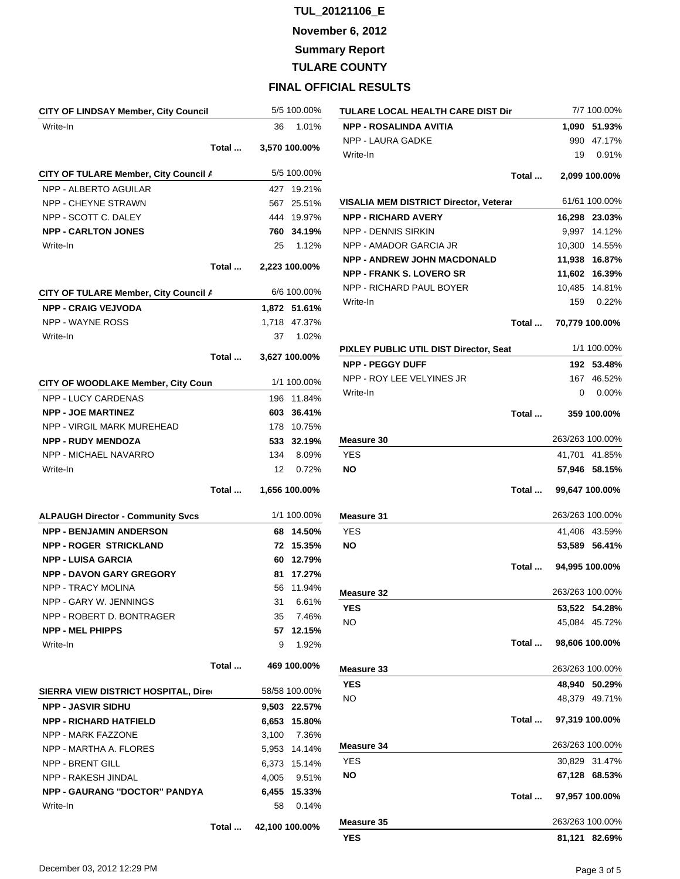**November 6, 2012**

**Summary Report**

**TULARE COUNTY**

| CITY OF LINDSAY Member, City Council     |       |     | 5/5 100.00%   |
|------------------------------------------|-------|-----|---------------|
| Write-In                                 |       | 36  | 1.01%         |
|                                          | Total |     | 3,570 100.00% |
| CITY OF TULARE Member, City Council /    |       |     | 5/5 100.00%   |
| NPP - ALBERTO AGUILAR                    |       |     | 427 19.21%    |
| NPP - CHEYNE STRAWN                      |       |     | 567 25.51%    |
| NPP - SCOTT C. DALEY                     |       |     | 444 19.97%    |
| <b>NPP - CARLTON JONES</b>               |       | 760 | 34.19%        |
| Write-In                                 |       |     | 25 1.12%      |
|                                          | Total |     | 2,223 100.00% |
| CITY OF TULARE Member, City Council /    |       |     | 6/6 100.00%   |
| <b>NPP - CRAIG VEJVODA</b>               |       |     | 1,872 51.61%  |
| NPP - WAYNE ROSS                         |       |     | 1,718 47.37%  |
| Write-In                                 |       | 37  | 1.02%         |
|                                          | Total |     | 3,627 100.00% |
|                                          |       |     |               |
| CITY OF WOODLAKE Member, City Coun       |       |     | 1/1 100.00%   |
| <b>NPP - LUCY CARDENAS</b>               |       |     | 196 11.84%    |
| <b>NPP - JOE MARTINEZ</b>                |       | 603 | 36.41%        |
| NPP - VIRGIL MARK MUREHEAD               |       |     | 178 10.75%    |
| <b>NPP - RUDY MENDOZA</b>                |       |     | 533 32.19%    |
| NPP - MICHAEL NAVARRO                    |       | 134 | 8.09%         |
| Write-In                                 |       | 12  | 0.72%         |
|                                          | Total |     | 1,656 100.00% |
| <b>ALPAUGH Director - Community Svcs</b> |       |     | 1/1 100.00%   |
| <b>NPP - BENJAMIN ANDERSON</b>           |       |     | 68 14.50%     |
| <b>NPP - ROGER STRICKLAND</b>            |       |     | 72 15.35%     |
| <b>NPP - LUISA GARCIA</b>                |       | 60. | 12.79%        |
| <b>NPP - DAVON GARY GREGORY</b>          |       | 81  | 17.27%        |
| <b>NPP - TRACY MOLINA</b>                |       | 56  | 11.94%        |
| NPP - GARY W. JENNINGS                   |       |     | 31 6.61%      |
|                                          |       |     |               |
| NPP - ROBERT D. BONTRAGER                |       |     | 35 7.46%      |
| <b>NPP - MEL PHIPPS</b>                  |       |     | 57 12.15%     |
| Write-In                                 |       | 9   | 1.92%         |
|                                          | Total |     | 469 100.00%   |
| SIERRA VIEW DISTRICT HOSPITAL, Dire      |       |     | 58/58 100.00% |
| <b>NPP - JASVIR SIDHU</b>                |       |     | 9,503 22.57%  |
| <b>NPP - RICHARD HATFIELD</b>            |       |     | 6,653 15.80%  |
| NPP - MARK FAZZONE                       |       |     | 3,100 7.36%   |
| NPP - MARTHA A. FLORES                   |       |     | 5,953 14.14%  |
| <b>NPP - BRENT GILL</b>                  |       |     | 6,373 15.14%  |
| NPP - RAKESH JINDAL                      |       |     | 4,005 9.51%   |
| <b>NPP - GAURANG "DOCTOR" PANDYA</b>     |       |     | 6,455 15.33%  |
| Write-In                                 |       | 58  | 0.14%         |

| TULARE LOCAL HEALTH CARE DIST Dir      |       |                       | 7/7 100.00%                    |
|----------------------------------------|-------|-----------------------|--------------------------------|
| <b>NPP - ROSALINDA AVITIA</b>          |       |                       | 1,090 51.93%                   |
| <b>NPP - LAURA GADKE</b>               |       |                       | 990 47.17%                     |
| Write-In                               |       | 19                    | 0.91%                          |
|                                        | Total |                       | 2,099 100.00%                  |
|                                        |       |                       |                                |
| VISALIA MEM DISTRICT Director, Veterar |       |                       | 61/61 100.00%                  |
| <b>NPP - RICHARD AVERY</b>             |       |                       | 16,298 23.03%                  |
| <b>NPP - DENNIS SIRKIN</b>             |       |                       | 9,997 14.12%                   |
| NPP - AMADOR GARCIA JR                 |       |                       | 10,300 14.55%                  |
| <b>NPP - ANDREW JOHN MACDONALD</b>     |       |                       | 11,938 16.87%                  |
| <b>NPP - FRANK S. LOVERO SR</b>        |       |                       | 11,602 16.39%                  |
| NPP - RICHARD PAUL BOYER               |       |                       | 10,485 14.81%                  |
| Write-In                               |       |                       | 159 0.22%                      |
|                                        | Total |                       | 70,779 100.00%                 |
| PIXLEY PUBLIC UTIL DIST Director, Seat |       |                       | 1/1 100.00%                    |
| <b>NPP - PEGGY DUFF</b>                |       |                       | 192 53.48%                     |
| NPP - ROY LEE VELYINES JR              |       |                       | 167 46.52%                     |
| Write-In                               |       | 0                     | $0.00\%$                       |
|                                        | Total |                       | 359 100.00%                    |
|                                        |       |                       |                                |
| Measure 30                             |       |                       | 263/263 100.00%                |
| <b>YES</b>                             |       |                       | 41,701 41.85%                  |
| <b>NO</b>                              |       |                       | 57,946 58.15%                  |
|                                        |       | Total  99,647 100.00% |                                |
| Measure 31                             |       |                       | 263/263 100.00%                |
| <b>YES</b>                             |       |                       | 41,406 43.59%                  |
| <b>NO</b>                              |       |                       | 53,589 56.41%                  |
|                                        |       | Total  94,995 100.00% |                                |
| Measure 32                             |       |                       | 263/263 100.00%                |
|                                        |       |                       |                                |
| YES<br>NO                              |       |                       | 53,522 54.28%<br>45,084 45.72% |
|                                        |       |                       |                                |
|                                        |       | Total  98,606 100.00% |                                |
| <b>Measure 33</b>                      |       |                       | 263/263 100.00%                |
| <b>YES</b>                             |       |                       | 48,940 50.29%                  |
| NO                                     |       |                       | 48,379 49.71%                  |
|                                        |       | Total  97,319 100.00% |                                |
| Measure 34                             |       |                       | 263/263 100.00%                |
| YES                                    |       |                       | 30,829 31.47%                  |
| NO                                     |       |                       | 67,128 68.53%                  |
|                                        |       | Total  97,957 100.00% |                                |
|                                        |       |                       |                                |
| Measure 35                             |       |                       | 263/263 100.00%                |
| <b>YES</b>                             |       | 81,121                | 82.69%                         |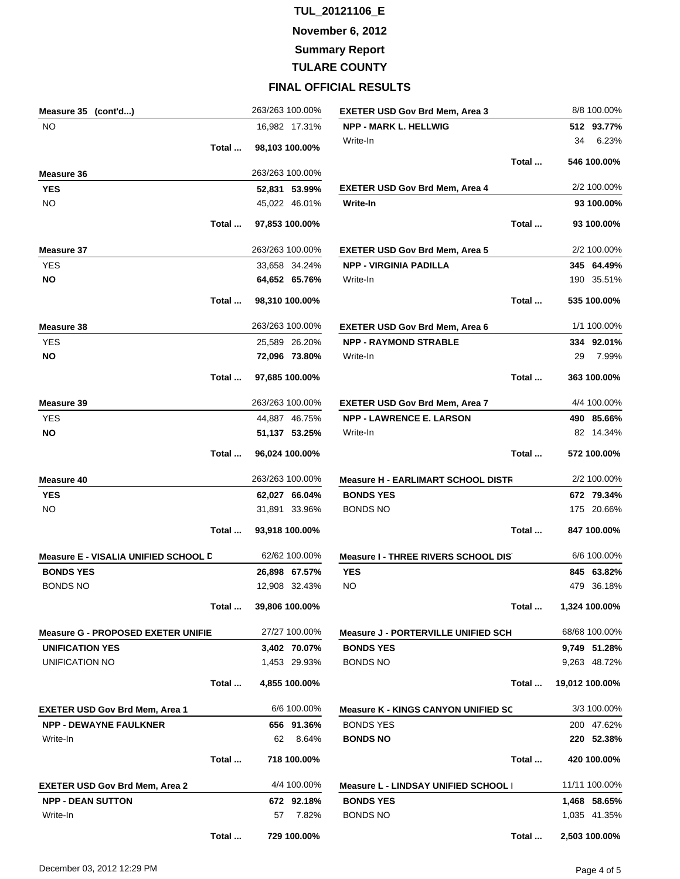**November 6, 2012**

**Summary Report**

**TULARE COUNTY**

| Measure 35 (cont'd)                         | 263/263 100.00% | <b>EXETER USD Gov Brd Mem, Area 3</b>       | 8/8 100.00%    |
|---------------------------------------------|-----------------|---------------------------------------------|----------------|
| <b>NO</b>                                   | 16,982 17.31%   | <b>NPP - MARK L. HELLWIG</b>                | 512 93.77%     |
| Total                                       | 98,103 100.00%  | Write-In                                    | 6.23%<br>34    |
|                                             |                 | Total                                       | 546 100.00%    |
| Measure 36                                  | 263/263 100.00% |                                             |                |
| <b>YES</b>                                  | 52,831 53.99%   | <b>EXETER USD Gov Brd Mem, Area 4</b>       | 2/2 100.00%    |
| <b>NO</b>                                   | 45,022 46.01%   | Write-In                                    | 93 100.00%     |
| Total                                       | 97,853 100.00%  | Total                                       | 93 100.00%     |
| Measure 37                                  | 263/263 100.00% | <b>EXETER USD Gov Brd Mem, Area 5</b>       | 2/2 100.00%    |
| <b>YES</b>                                  | 33,658 34.24%   | <b>NPP - VIRGINIA PADILLA</b>               | 345 64.49%     |
| ΝO                                          | 64,652 65.76%   | Write-In                                    | 190 35.51%     |
| Total                                       | 98,310 100.00%  | Total                                       | 535 100.00%    |
| <b>Measure 38</b>                           | 263/263 100.00% | <b>EXETER USD Gov Brd Mem, Area 6</b>       | 1/1 100.00%    |
| <b>YES</b>                                  | 25,589 26.20%   | <b>NPP - RAYMOND STRABLE</b>                | 334 92.01%     |
| NO                                          | 72,096 73.80%   | Write-In                                    | 29<br>7.99%    |
| Total                                       | 97,685 100.00%  | Total                                       | 363 100.00%    |
| Measure 39                                  | 263/263 100.00% | <b>EXETER USD Gov Brd Mem, Area 7</b>       | 4/4 100.00%    |
| <b>YES</b>                                  | 44,887 46.75%   | <b>NPP - LAWRENCE E. LARSON</b>             | 490 85.66%     |
| ΝO                                          | 51,137 53.25%   | Write-In                                    | 82 14.34%      |
| Total                                       | 96,024 100.00%  | Total                                       | 572 100.00%    |
| Measure 40                                  | 263/263 100.00% | <b>Measure H - EARLIMART SCHOOL DISTR</b>   | 2/2 100.00%    |
| <b>YES</b>                                  | 62,027 66.04%   | <b>BONDS YES</b>                            | 672 79.34%     |
| <b>NO</b>                                   | 31,891 33.96%   | <b>BONDS NO</b>                             | 175 20.66%     |
| Total                                       | 93,918 100.00%  | Total                                       | 847 100.00%    |
| <b>Measure E - VISALIA UNIFIED SCHOOL D</b> | 62/62 100.00%   | <b>Measure I - THREE RIVERS SCHOOL DIS</b>  | 6/6 100.00%    |
| <b>BONDS YES</b>                            | 26,898 67.57%   | <b>YES</b>                                  | 845 63.82%     |
| BONDS NO                                    | 12,908 32.43%   | NO                                          | 479 36.18%     |
| Total                                       | 39,806 100.00%  | Total                                       | 1,324 100.00%  |
| <b>Measure G - PROPOSED EXETER UNIFIE</b>   | 27/27 100.00%   | <b>Measure J - PORTERVILLE UNIFIED SCH</b>  | 68/68 100.00%  |
| <b>UNIFICATION YES</b>                      | 3,402 70.07%    | <b>BONDS YES</b>                            | 9,749 51.28%   |
| UNIFICATION NO                              | 1,453 29.93%    | <b>BONDS NO</b>                             | 9,263 48.72%   |
| Total                                       | 4,855 100.00%   | Total                                       | 19,012 100.00% |
| <b>EXETER USD Gov Brd Mem, Area 1</b>       | 6/6 100.00%     | <b>Measure K - KINGS CANYON UNIFIED SC</b>  | 3/3 100.00%    |
| <b>NPP - DEWAYNE FAULKNER</b>               | 656 91.36%      | <b>BONDS YES</b>                            | 200 47.62%     |
| Write-In                                    | 62<br>8.64%     | <b>BONDS NO</b>                             | 220 52.38%     |
| Total                                       | 718 100.00%     | Total                                       | 420 100.00%    |
| <b>EXETER USD Gov Brd Mem, Area 2</b>       | 4/4 100.00%     | <b>Measure L - LINDSAY UNIFIED SCHOOL  </b> | 11/11 100.00%  |
| <b>NPP - DEAN SUTTON</b>                    | 672 92.18%      | <b>BONDS YES</b>                            | 1,468 58.65%   |
| Write-In                                    | 57<br>7.82%     | <b>BONDS NO</b>                             | 1,035 41.35%   |
| Total                                       | 729 100.00%     | Total                                       | 2,503 100.00%  |